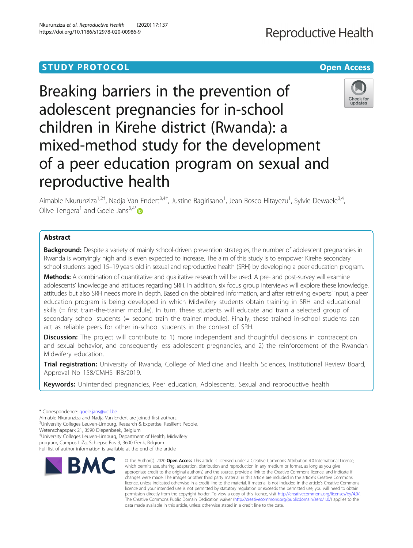# **STUDY PROTOCOL CONSUMING THE CONSUMING OPEN ACCESS**

# Breaking barriers in the prevention of adolescent pregnancies for in-school children in Kirehe district (Rwanda): a mixed-method study for the development of a peer education program on sexual and reproductive health

Aimable Nkurunziza<sup>1,2†</sup>, Nadja Van Endert<sup>3,4†</sup>, Justine Bagirisano<sup>1</sup>, Jean Bosco Hitayezu<sup>1</sup>, Sylvie Dewaele<sup>3,4</sup>, Olive Tengera<sup>1</sup> and Goele Jans<sup>3,4[\\*](http://orcid.org/0000-0001-8790-5539)</sup>

# Abstract

**Background:** Despite a variety of mainly school-driven prevention strategies, the number of adolescent pregnancies in Rwanda is worryingly high and is even expected to increase. The aim of this study is to empower Kirehe secondary school students aged 15–19 years old in sexual and reproductive health (SRH) by developing a peer education program.

Methods: A combination of quantitative and qualitative research will be used. A pre- and post-survey will examine adolescents' knowledge and attitudes regarding SRH. In addition, six focus group interviews will explore these knowledge, attitudes but also SRH needs more in depth. Based on the obtained information, and after retrieving experts' input, a peer education program is being developed in which Midwifery students obtain training in SRH and educational skills (= first train-the-trainer module). In turn, these students will educate and train a selected group of secondary school students (= second train the trainer module). Finally, these trained in-school students can act as reliable peers for other in-school students in the context of SRH.

**Discussion:** The project will contribute to 1) more independent and thoughtful decisions in contraception and sexual behavior, and consequently less adolescent pregnancies, and 2) the reinforcement of the Rwandan Midwifery education.

Trial registration: University of Rwanda, College of Medicine and Health Sciences, Institutional Review Board, Approval No 158/CMHS IRB/2019.

Keywords: Unintended pregnancies, Peer education, Adolescents, Sexual and reproductive health

Aimable Nkurunziza and Nadja Van Endert are joined first authors.

<sup>3</sup>University Colleges Leuven-Limburg, Research & Expertise, Resilient People,

Wetenschapspark 21, 3590 Diepenbeek, Belgium

4 University Colleges Leuven-Limburg, Department of Health, Midwifery



<sup>\*</sup> Correspondence: [goele.jans@ucll.be](mailto:goele.jans@ucll.be)

program, Campus LiZa, Schiepse Bos 3, 3600 Genk, Belgium Full list of author information is available at the end of the article

**BMC** 

<sup>©</sup> The Author(s), 2020 **Open Access** This article is licensed under a Creative Commons Attribution 4.0 International License, which permits use, sharing, adaptation, distribution and reproduction in any medium or format, as long as you give appropriate credit to the original author(s) and the source, provide a link to the Creative Commons licence, and indicate if changes were made. The images or other third party material in this article are included in the article's Creative Commons licence, unless indicated otherwise in a credit line to the material. If material is not included in the article's Creative Commons licence and your intended use is not permitted by statutory regulation or exceeds the permitted use, you will need to obtain permission directly from the copyright holder. To view a copy of this licence, visit [http://creativecommons.org/licenses/by/4.0/.](http://creativecommons.org/licenses/by/4.0/) The Creative Commons Public Domain Dedication waiver [\(http://creativecommons.org/publicdomain/zero/1.0/](http://creativecommons.org/publicdomain/zero/1.0/)) applies to the data made available in this article, unless otherwise stated in a credit line to the data.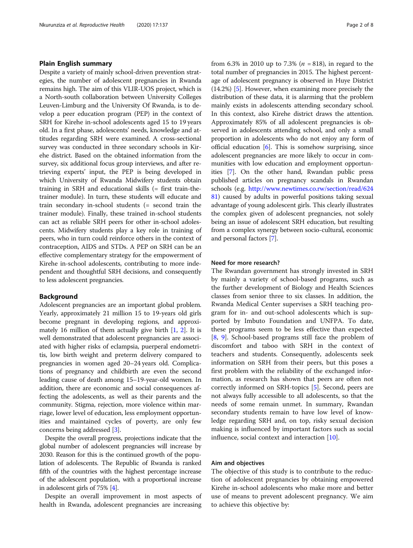# Plain English summary

Despite a variety of mainly school-driven prevention strategies, the number of adolescent pregnancies in Rwanda remains high. The aim of this VLIR-UOS project, which is a North-south collaboration between University Colleges Leuven-Limburg and the University Of Rwanda, is to develop a peer education program (PEP) in the context of SRH for Kirehe in-school adolescents aged 15 to 19 years old. In a first phase, adolescents' needs, knowledge and attitudes regarding SRH were examined. A cross-sectional survey was conducted in three secondary schools in Kirehe district. Based on the obtained information from the survey, six additional focus group interviews, and after retrieving experts' input, the PEP is being developed in which University of Rwanda Midwifery students obtain training in SRH and educational skills (= first train-thetrainer module). In turn, these students will educate and train secondary in-school students (= second train the trainer module). Finally, these trained in-school students can act as reliable SRH peers for other in-school adolescents. Midwifery students play a key role in training of peers, who in turn could reinforce others in the context of contraception, AIDS and STDs. A PEP on SRH can be an effective complementary strategy for the empowerment of Kirehe in-school adolescents, contributing to more independent and thoughtful SRH decisions, and consequently to less adolescent pregnancies.

# Background

Adolescent pregnancies are an important global problem. Yearly, approximately 21 million 15 to 19-years old girls become pregnant in developing regions, and approxi-mately [1](#page-7-0)6 million of them actually give birth  $\left[1, 2\right]$  $\left[1, 2\right]$  $\left[1, 2\right]$ . It is well demonstrated that adolescent pregnancies are associated with higher risks of eclampsia, puerperal endometritis, low birth weight and preterm delivery compared to pregnancies in women aged 20–24 years old. Complications of pregnancy and childbirth are even the second leading cause of death among 15–19-year-old women. In addition, there are economic and social consequences affecting the adolescents, as well as their parents and the community. Stigma, rejection, more violence within marriage, lower level of education, less employment opportunities and maintained cycles of poverty, are only few concerns being addressed [[3](#page-7-0)].

Despite the overall progress, projections indicate that the global number of adolescent pregnancies will increase by 2030. Reason for this is the continued growth of the population of adolescents. The Republic of Rwanda is ranked fifth of the countries with the highest percentage increase of the adolescent population, with a proportional increase in adolescent girls of 75% [\[4](#page-7-0)].

Despite an overall improvement in most aspects of health in Rwanda, adolescent pregnancies are increasing from 6.3% in 2010 up to 7.3% ( $n = 818$ ), in regard to the total number of pregnancies in 2015. The highest percentage of adolescent pregnancy is observed in Huye District (14.2%) [\[5](#page-7-0)]. However, when examining more precisely the distribution of these data, it is alarming that the problem mainly exists in adolescents attending secondary school. In this context, also Kirehe district draws the attention. Approximately 85% of all adolescent pregnancies is observed in adolescents attending school, and only a small proportion in adolescents who do not enjoy any form of official education  $[6]$  $[6]$ . This is somehow surprising, since adolescent pregnancies are more likely to occur in communities with low education and employment opportunities [[7](#page-7-0)]. On the other hand, Rwandan public press published articles on pregnancy scandals in Rwandan schools (e.g. [http://www.newtimes.co.rw/section/read/624](http://www.newtimes.co.rw/section/read/62481) [81](http://www.newtimes.co.rw/section/read/62481)) caused by adults in powerful positions taking sexual advantage of young adolescent girls. This clearly illustrates the complex given of adolescent pregnancies, not solely being an issue of adolescent SRH education, but resulting from a complex synergy between socio-cultural, economic and personal factors [\[7\]](#page-7-0).

## Need for more research?

The Rwandan government has strongly invested in SRH by mainly a variety of school-based programs, such as the further development of Biology and Health Sciences classes from senior three to six classes. In addition, the Rwanda Medical Center supervises a SRH teaching program for in- and out-school adolescents which is supported by Imbuto Foundation and UNFPA. To date, these programs seem to be less effective than expected [[8,](#page-7-0) [9](#page-7-0)]. School-based programs still face the problem of discomfort and taboo with SRH in the context of teachers and students. Consequently, adolescents seek information on SRH from their peers, but this poses a first problem with the reliability of the exchanged information, as research has shown that peers are often not correctly informed on SRH-topics [\[5](#page-7-0)]. Second, peers are not always fully accessible to all adolescents, so that the needs of some remain unmet. In summary, Rwandan secondary students remain to have low level of knowledge regarding SRH and, on top, risky sexual decision making is influenced by important factors such as social influence, social context and interaction [[10](#page-7-0)].

# Aim and objectives

The objective of this study is to contribute to the reduction of adolescent pregnancies by obtaining empowered Kirehe in-school adolescents who make more and better use of means to prevent adolescent pregnancy. We aim to achieve this objective by: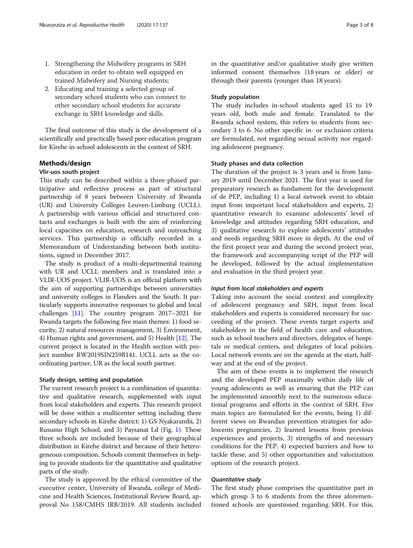- 1. Strengthening the Midwifery programs in SRH education in order to obtain well equipped en trained Midwifery and Nursing students;
- 2. Educating and training a selected group of secondary school students who can connect to other secondary school students for accurate exchange in SRH knowledge and skills.

The final outcome of this study is the development of a scientifically and practically based peer education program for Kirehe in-school adolescents in the context of SRH.

# Methods/design

# Vlir-uos south project

This study can be described within a three-phased participative and reflective process as part of structural partnership of 8 years between University of Rwanda (UR) and University Colleges Leuven-Limburg (UCLL). A partnership with various official and structured contacts and exchanges is built with the aim of reinforcing local capacities on education, research and outreaching services. This partnership is officially recorded in a Memorandum of Understanding between both institutions, signed in December 2017.

The study is product of a multi-departmental training with UR and UCLL members and is translated into a VLIR-UOS project. VLIR-UOS is an official platform with the aim of supporting partnerships between universities and university colleges in Flanders and the South. It particularly supports innovative responses to global and local challenges [\[11\]](#page-7-0). The country program 2017–2021 for Rwanda targets the following five main themes: 1) food security, 2) natural resources management, 3) Environment, 4) Human rights and government, and 5) Health [\[12\]](#page-7-0). The current project is located in the Health section with project number RW2019SIN259B141. UCLL acts as the coordinating partner, UR as the local south partner.

## Study design, setting and population

The current research project is a combination of quantitative and qualitative research, supplemented with input from local stakeholders and experts. This research project will be done within a multicenter setting including three secondary schools in Kirehe district: 1) GS Nyakarambi, 2) Rusumo High School, and 3) Paysanat Ld (Fig. [1\)](#page-3-0). These three schools are included because of their geographical distribution in Kirehe district and because of their heterogeneous composition. Schools commit themselves in helping to provide students for the quantitative and qualitative parts of the study.

The study is approved by the ethical committee of the executive center, University of Rwanda, college of Medicine and Health Sciences, Institutional Review Board, approval No 158/CMHS IRB/2019. All students included in the quantitative and/or qualitative study give written informed consent themselves (18 years or older) or through their parents (younger than 18 years).

# Study population

The study includes in-school students aged 15 to 19 years old, both male and female. Translated to the Rwanda school system, this refers to students from secondary 3 to 6. No other specific in- or exclusion criteria are formulated, not regarding sexual activity nor regarding adolescent pregnancy.

# Study phases and data collection

The duration of the project is 3 years and is from January 2019 until December 2021. The first year is used for preparatory research as fundament for the development of de PEP, including 1) a local network event to obtain input from important local stakeholders and experts, 2) quantitative research to examine adolescents' level of knowledge and attitudes regarding SRH education, and 3) qualitative research to explore adolescents' attitudes and needs regarding SRH more in depth. At the end of the first project year and during the second project year, the framework and accompanying script of the PEP will be developed, followed by the actual implementation and evaluation in the third project year.

#### Input from local stakeholders and experts

Taking into account the social context and complexity of adolescent pregnancy and SRH, input from local stakeholders and experts is considered necessary for succeeding of the project. These events target experts and stakeholders in the field of health care and education, such as school teachers and directors, delegates of hospitals or medical centers, and delegates of local policies. Local network events are on the agenda at the start, halfway and at the end of the project.

The aim of these events is to implement the research and the developed PEP maximally within daily life of young adolescents as well as ensuring that the PEP can be implemented smoothly next to the numerous educational programs and efforts in the context of SRH. Five main topics are formulated for the events, being 1) different views on Rwandan prevention strategies for adolescents pregnancies, 2) learned lessons from previous experiences and projects, 3) strengths of and necessary conditions for the PEP, 4) expected barriers and how to tackle these, and 5) other opportunities and valorization options of the research project.

# Quantitative study

The first study phase comprises the quantitative part in which group 3 to 6 students from the three aforementioned schools are questioned regarding SRH. For this,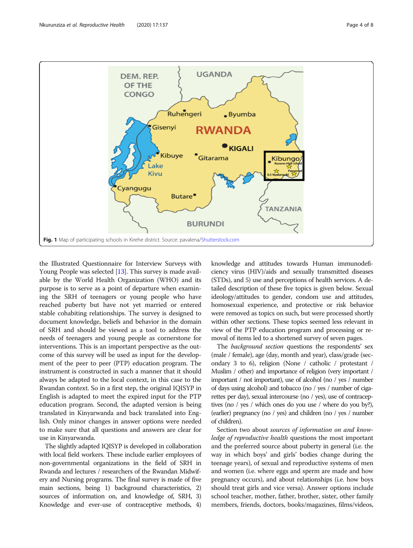<span id="page-3-0"></span>

the Illustrated Questionnaire for Interview Surveys with Young People was selected [[13](#page-7-0)]. This survey is made available by the World Health Organization (WHO) and its purpose is to serve as a point of departure when examining the SRH of teenagers or young people who have reached puberty but have not yet married or entered stable cohabiting relationships. The survey is designed to document knowledge, beliefs and behavior in the domain of SRH and should be viewed as a tool to address the needs of teenagers and young people as cornerstone for interventions. This is an important perspective as the outcome of this survey will be used as input for the development of the peer to peer (PTP) education program. The instrument is constructed in such a manner that it should always be adapted to the local context, in this case to the Rwandan context. So in a first step, the original IQISYP in English is adapted to meet the expired input for the PTP education program. Second, the adapted version is being translated in Kinyarwanda and back translated into English. Only minor changes in answer options were needed to make sure that all questions and answers are clear for use in Kinyarwanda.

The slightly adapted IQISYP is developed in collaboration with local field workers. These include earlier employees of non-governmental organizations in the field of SRH in Rwanda and lectures / researchers of the Rwandan Midwifery and Nursing programs. The final survey is made of five main sections, being 1) background characteristics, 2) sources of information on, and knowledge of, SRH, 3) Knowledge and ever-use of contraceptive methods, 4) knowledge and attitudes towards Human immunodeficiency virus (HIV)/aids and sexually transmitted diseases (STDs), and 5) use and perceptions of health services. A detailed description of these five topics is given below. Sexual ideology/attitudes to gender, condom use and attitudes, homosexual experience, and protective or risk behavior were removed as topics on such, but were processed shortly within other sections. These topics seemed less relevant in view of the PTP education program and processing or removal of items led to a shortened survey of seven pages.

The background section questions the respondents' sex (male / female), age (day, month and year), class/grade (secondary 3 to 6), religion (None / catholic / protestant / Muslim / other) and importance of religion (very important / important / not important), use of alcohol (no / yes / number of days using alcohol) and tobacco (no / yes / number of cigarettes per day), sexual intercourse (no / yes), use of contraceptives (no / yes / which ones do you use / where do you by?), (earlier) pregnancy (no / yes) and children (no / yes / number of children).

Section two about sources of information on and knowledge of reproductive health questions the most important and the preferred source about puberty in general (i.e. the way in which boys' and girls' bodies change during the teenage years), of sexual and reproductive systems of men and women (i.e. where eggs and sperm are made and how pregnancy occurs), and about relationships (i.e. how boys should treat girls and vice versa). Answer options include school teacher, mother, father, brother, sister, other family members, friends, doctors, books/magazines, films/videos,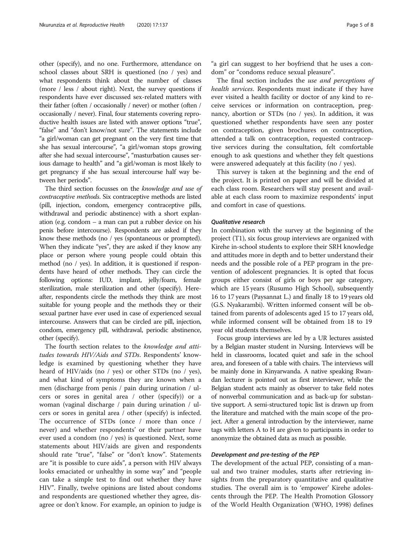other (specify), and no one. Furthermore, attendance on school classes about SRH is questioned (no / yes) and what respondents think about the number of classes (more / less / about right). Next, the survey questions if respondents have ever discussed sex-related matters with their father (often / occasionally / never) or mother (often / occasionally / never). Final, four statements covering reproductive health issues are listed with answer options "true", "false" and "don't know/not sure". The statements include "a girl/woman can get pregnant on the very first time that she has sexual intercourse", "a girl/woman stops growing after she had sexual intercourse", "masturbation causes serious damage to health" and "a girl/woman is most likely to get pregnancy if she has sexual intercourse half way between her periods".

The third section focusses on the knowledge and use of contraceptive methods. Six contraceptive methods are listed (pill, injection, condom, emergency contraceptive pills, withdrawal and periodic abstinence) with a short explanation (e.g. condom – a man can put a rubber device on his penis before intercourse). Respondents are asked if they know these methods (no / yes (spontaneous or prompted). When they indicate "yes", they are asked if they know any place or person where young people could obtain this method (no / yes). In addition, it is questioned if respondents have heard of other methods. They can circle the following options: IUD, implant, jelly/foam, female sterilization, male sterilization and other (specify). Hereafter, respondents circle the methods they think are most suitable for young people and the methods they or their sexual partner have ever used in case of experienced sexual intercourse. Answers that can be circled are pill, injection, condom, emergency pill, withdrawal, periodic abstinence, other (specify).

The fourth section relates to the knowledge and attitudes towards HIV/Aids and STDs. Respondents' knowledge is examined by questioning whether they have heard of HIV/aids (no / yes) or other STDs (no / yes), and what kind of symptoms they are known when a men (discharge from penis / pain during urination / ulcers or sores in genital area / other (specify)) or a woman (vaginal discharge / pain during urination / ulcers or sores in genital area / other (specify) is infected. The occurrence of STDs (once / more than once / never) and whether respondents' or their partner have ever used a condom (no / yes) is questioned. Next, some statements about HIV/aids are given and respondents should rate "true", "false" or "don't know". Statements are "it is possible to cure aids", a person with HIV always looks emaciated or unhealthy in some way" and "people can take a simple test to find out whether they have HIV". Finally, twelve opinions are listed about condoms and respondents are questioned whether they agree, disagree or don't know. For example, an opinion to judge is

"a girl can suggest to her boyfriend that he uses a condom" or "condoms reduce sexual pleasure".

The final section includes the use and perceptions of health services. Respondents must indicate if they have ever visited a health facility or doctor of any kind to receive services or information on contraception, pregnancy, abortion or STDs (no / yes). In addition, it was questioned whether respondents have seen any poster on contraception, given brochures on contraception, attended a talk on contraception, requested contraceptive services during the consultation, felt comfortable enough to ask questions and whether they felt questions were answered adequately at this facility (no / yes).

This survey is taken at the beginning and the end of the project. It is printed on paper and will be divided at each class room. Researchers will stay present and available at each class room to maximize respondents' input and comfort in case of questions.

#### Qualitative research

In combination with the survey at the beginning of the project (T1), six focus group interviews are organized with Kirehe in-school students to explore their SRH knowledge and attitudes more in depth and to better understand their needs and the possible role of a PEP program in the prevention of adolescent pregnancies. It is opted that focus groups either consist of girls or boys per age category, which are 15 years (Rusumo High School), subsequently 16 to 17 years (Paysannat L.) and finally 18 to 19 years old (G.S. Nyakarambi). Written informed consent will be obtained from parents of adolescents aged 15 to 17 years old, while informed consent will be obtained from 18 to 19 year old students themselves.

Focus group interviews are led by a UR lectures assisted by a Belgian master student in Nursing. Interviews will be held in classrooms, located quiet and safe in the school area, and foreseen of a table with chairs. The interviews will be mainly done in Kinyarwanda. A native speaking Rwandan lecturer is pointed out as first interviewer, while the Belgian student acts mainly as observer to take field notes of nonverbal communication and as back-up for substantive support. A semi-structured topic list is drawn up from the literature and matched with the main scope of the project. After a general introduction by the interviewer, name tags with letters A to H are given to participants in order to anonymize the obtained data as much as possible.

#### Development and pre-testing of the PEP

The development of the actual PEP, consisting of a manual and two trainer modules, starts after retrieving insights from the preparatory quantitative and qualitative studies. The overall aim is to 'empower' Kirehe adolescents through the PEP. The Health Promotion Glossory of the World Health Organization (WHO, 1998) defines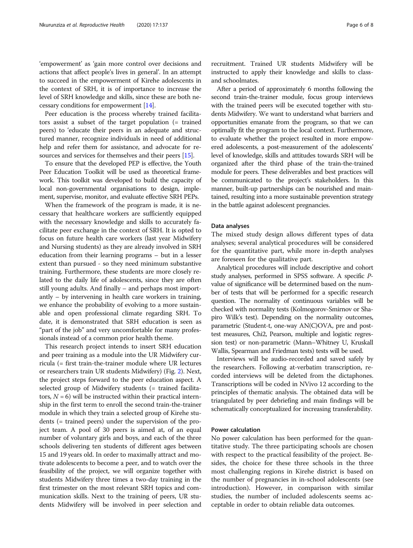'empowerment' as 'gain more control over decisions and actions that affect people's lives in general'. In an attempt to succeed in the empowerment of Kirehe adolescents in the context of SRH, it is of importance to increase the level of SRH knowledge and skills, since these are both necessary conditions for empowerment [[14](#page-7-0)].

Peer education is the process whereby trained facilitators assist a subset of the target population (= trained peers) to 'educate their peers in an adequate and structured manner, recognize individuals in need of additional help and refer them for assistance, and advocate for re-sources and services for themselves and their peers [[15](#page-7-0)].

To ensure that the developed PEP is effective, the Youth Peer Education Toolkit will be used as theoretical framework. This toolkit was developed to build the capacity of local non-governmental organisations to design, implement, supervise, monitor, and evaluate effective SRH PEPs.

When the framework of the program is made, it is necessary that healthcare workers are sufficiently equipped with the necessary knowledge and skills to accurately facilitate peer exchange in the context of SRH. It is opted to focus on future health care workers (last year Midwifery and Nursing students) as they are already involved in SRH education from their learning programs – but in a lesser extent than pursued - so they need minimum substantive training. Furthermore, these students are more closely related to the daily life of adolescents, since they are often still young adults. And finally – and perhaps most importantly – by intervening in health care workers in training, we enhance the probability of evolving to a more sustainable and open professional climate regarding SRH. To date, it is demonstrated that SRH education is seen as "part of the job" and very uncomfortable for many professionals instead of a common prior health theme.

This research project intends to insert SRH education and peer training as a module into the UR Midwifery curricula (= first train-the-trainer module where UR lectures or researchers train UR students Midwifery) (Fig. [2](#page-6-0)). Next, the project steps forward to the peer education aspect. A selected group of Midwifery students (= trained facilitators,  $N = 6$ ) will be instructed within their practical internship in the first term to enroll the second train-the-trainer module in which they train a selected group of Kirehe students (= trained peers) under the supervision of the project team. A pool of 30 peers is aimed at, of an equal number of voluntary girls and boys, and each of the three schools delivering ten students of different ages between 15 and 19 years old. In order to maximally attract and motivate adolescents to become a peer, and to watch over the feasibility of the project, we will organize together with students Midwifery three times a two-day training in the first trimester on the most relevant SRH topics and communication skills. Next to the training of peers, UR students Midwifery will be involved in peer selection and

recruitment. Trained UR students Midwifery will be instructed to apply their knowledge and skills to classand schoolmates.

After a period of approximately 6 months following the second train-the-trainer module, focus group interviews with the trained peers will be executed together with students Midwifery. We want to understand what barriers and opportunities emanate from the program, so that we can optimally fit the program to the local context. Furthermore, to evaluate whether the project resulted in more empowered adolescents, a post-measurement of the adolescents' level of knowledge, skills and attitudes towards SRH will be organized after the third phase of the train-the-trained module for peers. These deliverables and best practices will be communicated to the project's stakeholders. In this manner, built-up partnerships can be nourished and maintained, resulting into a more sustainable prevention strategy in the battle against adolescent pregnancies.

#### Data analyses

The mixed study design allows different types of data analyses; several analytical procedures will be considered for the quantitative part, while more in-depth analyses are foreseen for the qualitative part.

Analytical procedures will include descriptive and cohort study analyses, performed in SPSS software. A specific Pvalue of significance will be determined based on the number of tests that will be performed for a specific research question. The normality of continuous variables will be checked with normality tests (Kolmogorov-Smirnov or Shapiro Wilk's test). Depending on the normality outcomes, parametric (Student-t, one-way AN(C)OVA, pre and posttest measures, Chi2, Pearson, multiple and logistic regression test) or non-parametric (Mann–Whitney U, Kruskall Wallis, Spearman and Friedman tests) tests will be used.

Interviews will be audio-recorded and saved safely by the researchers. Following at-verbatim transcription, recorded interviews will be deleted from the dictaphones. Transcriptions will be coded in NVivo 12 according to the principles of thematic analysis. The obtained data will be triangulated by peer debriefing and main findings will be schematically conceptualized for increasing transferability.

# Power calculation

No power calculation has been performed for the quantitative study. The three participating schools are chosen with respect to the practical feasibility of the project. Besides, the choice for these three schools in the three most challenging regions in Kirehe district is based on the number of pregnancies in in-school adolescents (see introduction). However, in comparison with similar studies, the number of included adolescents seems acceptable in order to obtain reliable data outcomes.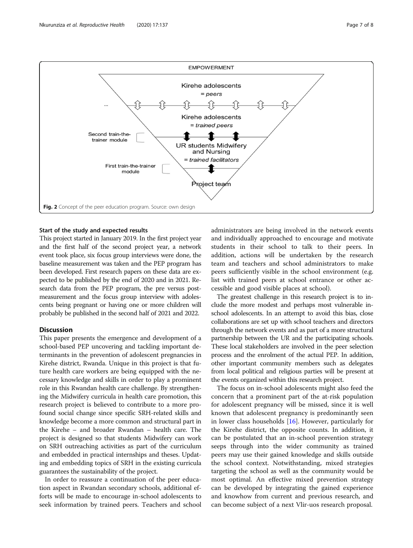<span id="page-6-0"></span>

## Start of the study and expected results

This project started in January 2019. In the first project year and the first half of the second project year, a network event took place, six focus group interviews were done, the baseline measurement was taken and the PEP program has been developed. First research papers on these data are expected to be published by the end of 2020 and in 2021. Research data from the PEP program, the pre versus postmeasurement and the focus group interview with adolescents being pregnant or having one or more children will probably be published in the second half of 2021 and 2022.

# Discussion

This paper presents the emergence and development of a school-based PEP uncovering and tackling important determinants in the prevention of adolescent pregnancies in Kirehe district, Rwanda. Unique in this project is that future health care workers are being equipped with the necessary knowledge and skills in order to play a prominent role in this Rwandan health care challenge. By strengthening the Midwifery curricula in health care promotion, this research project is believed to contribute to a more profound social change since specific SRH-related skills and knowledge become a more common and structural part in the Kirehe – and broader Rwandan – health care. The project is designed so that students Midwifery can work on SRH outreaching activities as part of the curriculum and embedded in practical internships and theses. Updating and embedding topics of SRH in the existing curricula guarantees the sustainability of the project.

In order to reassure a continuation of the peer education aspect in Rwandan secondary schools, additional efforts will be made to encourage in-school adolescents to seek information by trained peers. Teachers and school administrators are being involved in the network events and individually approached to encourage and motivate students in their school to talk to their peers. In addition, actions will be undertaken by the research team and teachers and school administrators to make peers sufficiently visible in the school environment (e.g. list with trained peers at school entrance or other accessible and good visible places at school).

The greatest challenge in this research project is to include the more modest and perhaps most vulnerable inschool adolescents. In an attempt to avoid this bias, close collaborations are set up with school teachers and directors through the network events and as part of a more structural partnership between the UR and the participating schools. These local stakeholders are involved in the peer selection process and the enrolment of the actual PEP. In addition, other important community members such as delegates from local political and religious parties will be present at the events organized within this research project.

The focus on in-school adolescents might also feed the concern that a prominent part of the at-risk population for adolescent pregnancy will be missed, since it is well known that adolescent pregnancy is predominantly seen in lower class households  $[16]$  $[16]$ . However, particularly for the Kirehe district, the opposite counts. In addition, it can be postulated that an in-school prevention strategy seeps through into the wider community as trained peers may use their gained knowledge and skills outside the school context. Notwithstanding, mixed strategies targeting the school as well as the community would be most optimal. An effective mixed prevention strategy can be developed by integrating the gained experience and knowhow from current and previous research, and can become subject of a next Vlir-uos research proposal.